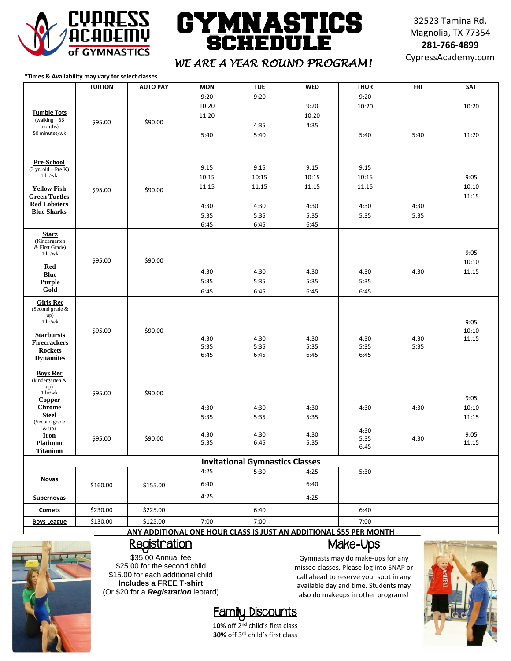

#### CS GY) NAS1 M **SCHEDU**

32523 Tamina Rd. Magnolia, TX 77354 **281-766-4899**

## CypressAcademy.com *WE ARE A YEAR ROUND PROGRAM!*

**\*Times & Availability may vary for select classes** 

|                                                 | <b>TUITION</b> | <b>AUTO PAY</b> | <b>MON</b> | <b>TUE</b>                             | <b>WED</b>                                                         | <b>THUR</b> | <b>FRI</b> | <b>SAT</b> |
|-------------------------------------------------|----------------|-----------------|------------|----------------------------------------|--------------------------------------------------------------------|-------------|------------|------------|
|                                                 |                |                 | 9:20       | 9:20                                   |                                                                    | 9:20        |            |            |
|                                                 |                |                 | 10:20      |                                        | 9:20                                                               | 10:20       |            | 10:20      |
| <b>Tumble Tots</b>                              |                |                 | 11:20      |                                        | 10:20                                                              |             |            |            |
| (walking $-36$                                  | \$95.00        | \$90.00         |            |                                        |                                                                    |             |            |            |
| months)                                         |                |                 |            | 4:35                                   | 4:35                                                               |             |            |            |
| 50 minutes/wk                                   |                |                 | 5:40       | 5:40                                   |                                                                    | 5:40        | 5:40       | 11:20      |
|                                                 |                |                 |            |                                        |                                                                    |             |            |            |
|                                                 |                |                 |            |                                        |                                                                    |             |            |            |
| <b>Pre-School</b>                               |                |                 |            |                                        |                                                                    |             |            |            |
| $(3 \text{ yr. old} - \text{Pre K})$<br>1 hr/wk |                |                 | 9:15       | 9:15                                   | 9:15                                                               | 9:15        |            |            |
|                                                 |                |                 | 10:15      | 10:15                                  | 10:15                                                              | 10:15       |            | 9:05       |
| <b>Yellow Fish</b>                              | \$95.00        | \$90.00         | 11:15      | 11:15                                  | 11:15                                                              | 11:15       |            | 10:10      |
| <b>Green Turtles</b>                            |                |                 |            |                                        |                                                                    |             |            | 11:15      |
| <b>Red Lobsters</b>                             |                |                 | 4:30       | 4:30                                   | 4:30                                                               | 4:30        | 4:30       |            |
| <b>Blue Sharks</b>                              |                |                 | 5:35       | 5:35                                   | 5:35                                                               | 5:35        | 5:35       |            |
|                                                 |                |                 | 6:45       | 6:45                                   | 6:45                                                               |             |            |            |
| <b>Starz</b>                                    |                |                 |            |                                        |                                                                    |             |            |            |
| (Kindergarten                                   |                |                 |            |                                        |                                                                    |             |            |            |
| & First Grade)<br>1 hr/wk                       |                |                 |            |                                        |                                                                    |             |            | 9:05       |
|                                                 | \$95.00        | \$90.00         |            |                                        |                                                                    |             |            | 10:10      |
| Red                                             |                |                 | 4:30       | 4:30                                   | 4:30                                                               | 4:30        | 4:30       | 11:15      |
| <b>Blue</b>                                     |                |                 |            |                                        |                                                                    |             |            |            |
| <b>Purple</b>                                   |                |                 | 5:35       | 5:35                                   | 5:35                                                               | 5:35        |            |            |
| Gold                                            |                |                 | 6:45       | 6:45                                   | 6:45                                                               | 6:45        |            |            |
| <b>Girls Rec</b>                                |                |                 |            |                                        |                                                                    |             |            |            |
| (Second grade &                                 |                |                 |            |                                        |                                                                    |             |            |            |
| up)<br>$1\ \mathrm{hr/wk}$                      |                |                 |            |                                        |                                                                    |             |            | 9:05       |
|                                                 | \$95.00        | \$90.00         |            |                                        |                                                                    |             |            | 10:10      |
| <b>Starbursts</b>                               |                |                 | 4:30       | 4:30                                   | 4:30                                                               | 4:30        | 4:30       | 11:15      |
| <b>Firecrackers</b>                             |                |                 | 5:35       | 5:35                                   | 5:35                                                               | 5:35        | 5:35       |            |
| <b>Rockets</b><br><b>Dynamites</b>              |                |                 | 6:45       | 6:45                                   | 6:45                                                               | 6:45        |            |            |
|                                                 |                |                 |            |                                        |                                                                    |             |            |            |
| <b>Boys Rec</b>                                 |                |                 |            |                                        |                                                                    |             |            |            |
| (kindergarten &                                 |                |                 |            |                                        |                                                                    |             |            |            |
| $up)$<br>1 hr/wk                                | \$95.00        | \$90.00         |            |                                        |                                                                    |             |            |            |
| <b>Copper</b>                                   |                |                 |            |                                        |                                                                    |             |            | 9:05       |
| Chrome                                          |                |                 | 4:30       | 4:30                                   | 4:30                                                               | 4:30        | 4:30       | 10:10      |
| <b>Steel</b>                                    |                |                 | 5:35       | 5:35                                   | 5:35                                                               |             |            | 11:15      |
| (Second grade                                   |                |                 |            |                                        |                                                                    |             |            |            |
| $&$ up)<br>Iron                                 |                |                 | 4:30       | 4:30                                   | 4:30                                                               | 4:30        |            | 9:05       |
| <b>Platinum</b>                                 | \$95.00        | \$90.00         | 5:35       | 6:45                                   | 5:35                                                               | 5:35        | 4:30       | 11:15      |
| <b>Titanium</b>                                 |                |                 |            |                                        |                                                                    | 6:45        |            |            |
|                                                 |                |                 |            | <b>Invitational Gymnastics Classes</b> |                                                                    |             |            |            |
|                                                 |                |                 | 4:25       | 5:30                                   | 4:25                                                               | 5:30        |            |            |
| <b>Novas</b>                                    |                |                 |            |                                        |                                                                    |             |            |            |
|                                                 | \$160.00       | \$155.00        | 6:40       |                                        | 6:40                                                               |             |            |            |
| <b>Supernovas</b>                               |                |                 | 4:25       |                                        | 4:25                                                               |             |            |            |
|                                                 |                |                 |            |                                        |                                                                    |             |            |            |
| Comets                                          | \$230.00       | \$225.00        |            | 6:40                                   |                                                                    | 6:40        |            |            |
| <b>Boys League</b>                              | \$130.00       | \$125.00        | 7:00       | 7:00                                   | ANY ADDITIONAL ONE HOUP CLASS IS HIST AN ADDITIONAL SEE DED MONTH. | 7:00        |            |            |

**ANY ADDITIONAL ONE HOUR CLASS IS JUST AN ADDITIONAL \$55 PER MONTH**



#### Registration

\$35.00 Annual fee \$25.00 for the second child \$15.00 for each additional child **Includes a FREE T-shirt** (Or \$20 for a *Registration* leotard)

### Family Discounts

**10%** off 2nd child's first class **30%** off 3rd child's first class

#### Make-Ups

Gymnasts may do make-ups for any missed classes. Please log into SNAP or call ahead to reserve your spot in any available day and time. Students may also do makeups in other programs!